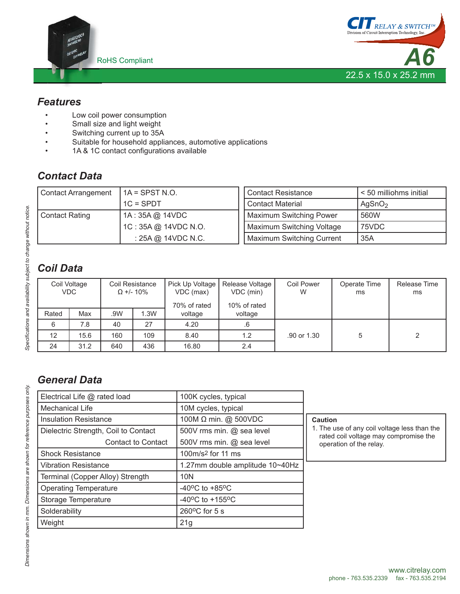



#### *Features*

- Low coil power consumption
- Small size and light weight
- Switching current up to 35A
- Suitable for household appliances, automotive applications
- 1A & 1C contact configurations available

# *Contact Data*

| <b>Contact Arrangement</b> | $IA =$ SPST N.O.     | <b>Contact Resistance</b>        | $\leq$ 50 milliohms initial |  |
|----------------------------|----------------------|----------------------------------|-----------------------------|--|
|                            | $1C = SPDT$          | <b>Contact Material</b>          | AgSnO <sub>2</sub>          |  |
| <b>Contact Rating</b>      | 1A: 35A @ 14VDC      | Maximum Switching Power          | 560W                        |  |
|                            | 1C: 35A @ 14VDC N.O. | Maximum Switching Voltage        | 75VDC                       |  |
|                            | : 25A @ 14VDC N.C.   | <b>Maximum Switching Current</b> | 35A                         |  |

# *Coil Data*

|       | Coil Voltage<br><b>VDC</b> |     | Coil Resistance<br>$\Omega$ +/- 10% | Pick Up Voltage<br>VDC (max)<br>70% of rated | Release Voltage<br>VDC (min)<br>10% of rated | <b>Coil Power</b><br>W | Operate Time<br>ms | Release Time<br>ms |
|-------|----------------------------|-----|-------------------------------------|----------------------------------------------|----------------------------------------------|------------------------|--------------------|--------------------|
| Rated | Max                        | .9W | 1.3W                                | voltage                                      | voltage                                      |                        |                    |                    |
|       | 7.8                        | 40  | 27                                  | 4.20                                         | .6                                           |                        |                    |                    |
| 12    | 15.6                       | 160 | 109                                 | 8.40                                         | 1.2                                          | .90 or 1.30            |                    |                    |
| 24    | 31.2                       | 640 | 436                                 | 16.80                                        | 2.4                                          |                        |                    |                    |

# *General Data*

| Electrical Life @ rated load         | 100K cycles, typical                |                                                                                       |  |  |
|--------------------------------------|-------------------------------------|---------------------------------------------------------------------------------------|--|--|
| <b>Mechanical Life</b>               | 10M cycles, typical                 |                                                                                       |  |  |
| <b>Insulation Resistance</b>         | 100M $\Omega$ min. @ 500VDC         | Caution                                                                               |  |  |
| Dielectric Strength, Coil to Contact | 500V rms min. @ sea level           | 1. The use of any coil voltage less than the<br>rated coil voltage may compromise the |  |  |
| <b>Contact to Contact</b>            | 500V rms min. @ sea level           | operation of the relay.                                                               |  |  |
| <b>Shock Resistance</b>              | 100m/s <sup>2</sup> for 11 ms       |                                                                                       |  |  |
| <b>Vibration Resistance</b>          | 1.27mm double amplitude 10~40Hz     |                                                                                       |  |  |
| Terminal (Copper Alloy) Strength     | 10N                                 |                                                                                       |  |  |
| <b>Operating Temperature</b>         | $-40^{\circ}$ C to $+85^{\circ}$ C  |                                                                                       |  |  |
| Storage Temperature                  | $-40^{\circ}$ C to $+155^{\circ}$ C |                                                                                       |  |  |
| Solderability                        | $260^{\circ}$ C for 5 s             |                                                                                       |  |  |
| Weight                               | 21g                                 |                                                                                       |  |  |